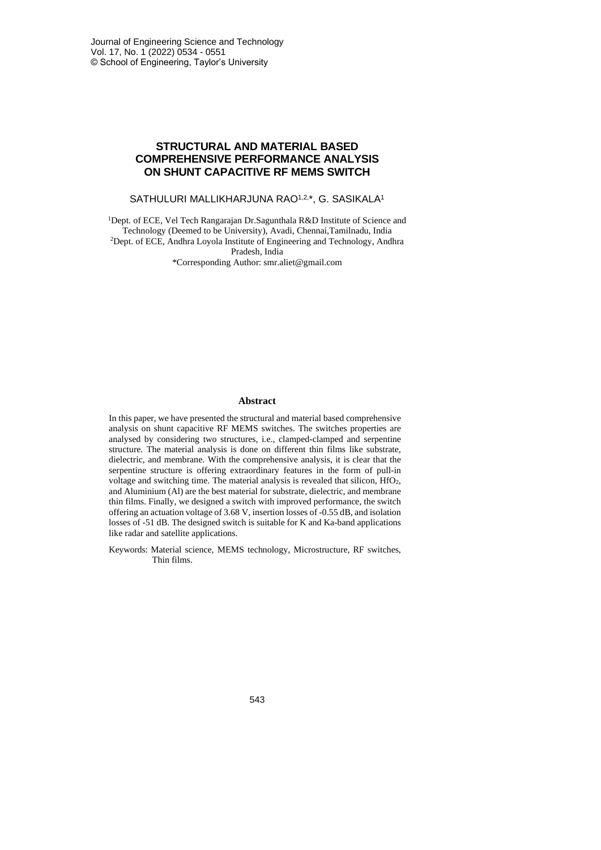# **STRUCTURAL AND MATERIAL BASED COMPREHENSIVE PERFORMANCE ANALYSIS ON SHUNT CAPACITIVE RF MEMS SWITCH**

#### SATHULURI MALLIKHARJUNA RAO1,2,\*, G. SASIKALA1

<sup>1</sup>Dept. of ECE, Vel Tech Rangarajan Dr.Sagunthala R&D Institute of Science and Technology (Deemed to be University), Avadi, Chennai,Tamilnadu, India <sup>2</sup>Dept. of ECE, Andhra Loyola Institute of Engineering and Technology, Andhra Pradesh, India \*Corresponding Author: smr.aliet@gmail.com

#### **Abstract**

In this paper, we have presented the structural and material based comprehensive analysis on shunt capacitive RF MEMS switches. The switches properties are analysed by considering two structures, i.e., clamped-clamped and serpentine structure. The material analysis is done on different thin films like substrate, dielectric, and membrane. With the comprehensive analysis, it is clear that the serpentine structure is offering extraordinary features in the form of pull-in voltage and switching time. The material analysis is revealed that silicon, HfO2, and Aluminium (Al) are the best material for substrate, dielectric, and membrane thin films. Finally, we designed a switch with improved performance, the switch offering an actuation voltage of 3.68 V, insertion losses of -0.55 dB, and isolation losses of -51 dB. The designed switch is suitable for K and Ka-band applications like radar and satellite applications.

Keywords: Material science, MEMS technology, Microstructure, RF switches, Thin films.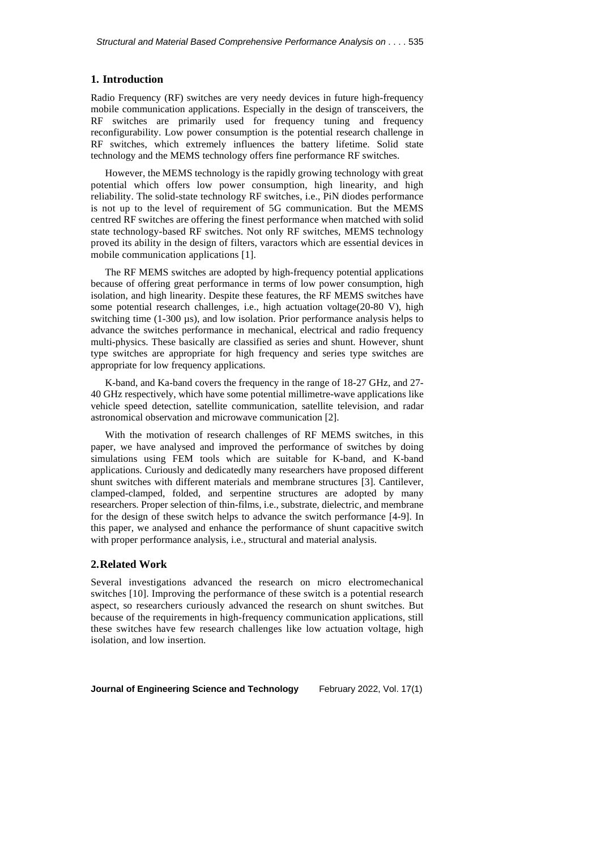### **1. Introduction**

Radio Frequency (RF) switches are very needy devices in future high-frequency mobile communication applications. Especially in the design of transceivers, the RF switches are primarily used for frequency tuning and frequency reconfigurability. Low power consumption is the potential research challenge in RF switches, which extremely influences the battery lifetime. Solid state technology and the MEMS technology offers fine performance RF switches.

However, the MEMS technology is the rapidly growing technology with great potential which offers low power consumption, high linearity, and high reliability. The solid-state technology RF switches, i.e., PiN diodes performance is not up to the level of requirement of 5G communication. But the MEMS centred RF switches are offering the finest performance when matched with solid state technology-based RF switches. Not only RF switches, MEMS technology proved its ability in the design of filters, varactors which are essential devices in mobile communication applications [1].

The RF MEMS switches are adopted by high-frequency potential applications because of offering great performance in terms of low power consumption, high isolation, and high linearity. Despite these features, the RF MEMS switches have some potential research challenges, i.e., high actuation voltage(20-80 V), high switching time (1-300  $\mu$ s), and low isolation. Prior performance analysis helps to advance the switches performance in mechanical, electrical and radio frequency multi-physics. These basically are classified as series and shunt. However, shunt type switches are appropriate for high frequency and series type switches are appropriate for low frequency applications.

K-band, and Ka-band covers the frequency in the range of 18-27 GHz, and 27- 40 GHz respectively, which have some potential millimetre-wave applications like vehicle speed detection, satellite communication, satellite television, and radar astronomical observation and microwave communication [2].

With the motivation of research challenges of RF MEMS switches, in this paper, we have analysed and improved the performance of switches by doing simulations using FEM tools which are suitable for K-band, and K-band applications. Curiously and dedicatedly many researchers have proposed different shunt switches with different materials and membrane structures [3]. Cantilever, clamped-clamped, folded, and serpentine structures are adopted by many researchers. Proper selection of thin-films, i.e., substrate, dielectric, and membrane for the design of these switch helps to advance the switch performance [4-9]. In this paper, we analysed and enhance the performance of shunt capacitive switch with proper performance analysis, i.e., structural and material analysis.

#### **2.Related Work**

Several investigations advanced the research on micro electromechanical switches [10]. Improving the performance of these switch is a potential research aspect, so researchers curiously advanced the research on shunt switches. But because of the requirements in high-frequency communication applications, still these switches have few research challenges like low actuation voltage, high isolation, and low insertion.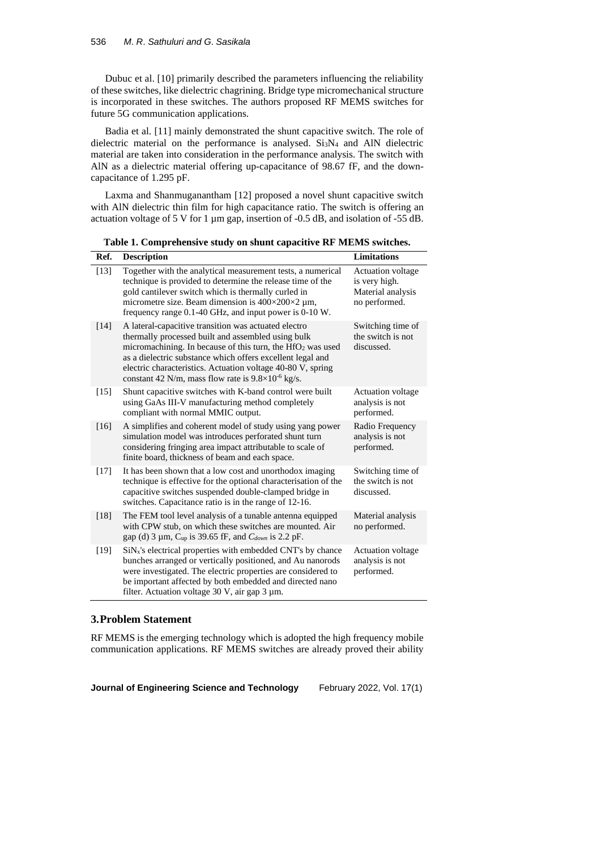Dubuc et al. [10] primarily described the parameters influencing the reliability of these switches, like dielectric chagrining. Bridge type micromechanical structure is incorporated in these switches. The authors proposed RF MEMS switches for future 5G communication applications.

Badia et al. [11] mainly demonstrated the shunt capacitive switch. The role of dielectric material on the performance is analysed.  $Si<sub>3</sub>N<sub>4</sub>$  and AlN dielectric material are taken into consideration in the performance analysis. The switch with AlN as a dielectric material offering up-capacitance of 98.67 fF, and the downcapacitance of 1.295 pF.

Laxma and Shanmuganantham [12] proposed a novel shunt capacitive switch with AlN dielectric thin film for high capacitance ratio. The switch is offering an actuation voltage of 5 V for 1 µm gap, insertion of -0.5 dB, and isolation of -55 dB.

**Table 1. Comprehensive study on shunt capacitive RF MEMS switches.**

| Ref.   | <b>Description</b>                                                                                                                                                                                                                                                                                                                                                                 | <b>Limitations</b>                                                              |
|--------|------------------------------------------------------------------------------------------------------------------------------------------------------------------------------------------------------------------------------------------------------------------------------------------------------------------------------------------------------------------------------------|---------------------------------------------------------------------------------|
| $[13]$ | Together with the analytical measurement tests, a numerical<br>technique is provided to determine the release time of the<br>gold cantilever switch which is thermally curled in<br>micrometre size. Beam dimension is $400\times200\times2$ µm,<br>frequency range 0.1-40 GHz, and input power is 0-10 W.                                                                         | <b>Actuation</b> voltage<br>is very high.<br>Material analysis<br>no performed. |
| [14]   | A lateral-capacitive transition was actuated electro<br>thermally processed built and assembled using bulk<br>micromachining. In because of this turn, the HfO <sub>2</sub> was used<br>as a dielectric substance which offers excellent legal and<br>electric characteristics. Actuation voltage 40-80 V, spring<br>constant 42 N/m, mass flow rate is $9.8 \times 10^{-6}$ kg/s. | Switching time of<br>the switch is not<br>discussed.                            |
| [15]   | Shunt capacitive switches with K-band control were built<br>using GaAs III-V manufacturing method completely<br>compliant with normal MMIC output.                                                                                                                                                                                                                                 | <b>Actuation voltage</b><br>analysis is not<br>performed.                       |
| [16]   | A simplifies and coherent model of study using yang power<br>simulation model was introduces perforated shunt turn<br>considering fringing area impact attributable to scale of<br>finite board, thickness of beam and each space.                                                                                                                                                 | Radio Frequency<br>analysis is not<br>performed.                                |
| $[17]$ | It has been shown that a low cost and unorthodox imaging<br>technique is effective for the optional characterisation of the<br>capacitive switches suspended double-clamped bridge in<br>switches. Capacitance ratio is in the range of 12-16.                                                                                                                                     | Switching time of<br>the switch is not<br>discussed.                            |
| [18]   | The FEM tool level analysis of a tunable antenna equipped<br>with CPW stub, on which these switches are mounted. Air<br>gap (d) 3 $\mu$ m, C <sub>up</sub> is 39.65 fF, and C <sub>down</sub> is 2.2 pF.                                                                                                                                                                           | Material analysis<br>no performed.                                              |
| [19]   | $SiNx$ 's electrical properties with embedded CNT's by chance<br>bunches arranged or vertically positioned, and Au nanorods<br>were investigated. The electric properties are considered to<br>be important affected by both embedded and directed nano<br>filter. Actuation voltage 30 V, air gap 3 µm.                                                                           | <b>Actuation voltage</b><br>analysis is not<br>performed.                       |

# **3.Problem Statement**

RF MEMS is the emerging technology which is adopted the high frequency mobile communication applications. RF MEMS switches are already proved their ability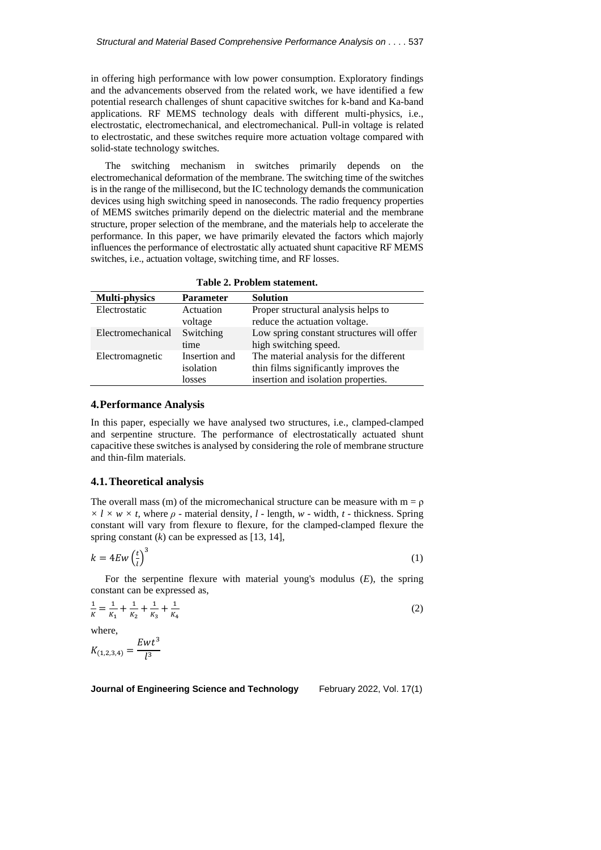in offering high performance with low power consumption. Exploratory findings and the advancements observed from the related work, we have identified a few potential research challenges of shunt capacitive switches for k-band and Ka-band applications. RF MEMS technology deals with different multi-physics, i.e., electrostatic, electromechanical, and electromechanical. Pull-in voltage is related to electrostatic, and these switches require more actuation voltage compared with solid-state technology switches.

The switching mechanism in switches primarily depends on the electromechanical deformation of the membrane. The switching time of the switches is in the range of the millisecond, but the IC technology demands the communication devices using high switching speed in nanoseconds. The radio frequency properties of MEMS switches primarily depend on the dielectric material and the membrane structure, proper selection of the membrane, and the materials help to accelerate the performance. In this paper, we have primarily elevated the factors which majorly influences the performance of electrostatic ally actuated shunt capacitive RF MEMS switches, i.e., actuation voltage, switching time, and RF losses.

**Table 2. Problem statement.**

| <b>Multi-physics</b> | <b>Parameter</b> | <b>Solution</b>                           |
|----------------------|------------------|-------------------------------------------|
| Electrostatic        | Actuation        | Proper structural analysis helps to       |
|                      | voltage          | reduce the actuation voltage.             |
| Electromechanical    | Switching        | Low spring constant structures will offer |
|                      | time             | high switching speed.                     |
| Electromagnetic      | Insertion and    | The material analysis for the different   |
|                      | isolation        | thin films significantly improves the     |
|                      | losses           | insertion and isolation properties.       |

#### **4.Performance Analysis**

In this paper, especially we have analysed two structures, i.e., clamped-clamped and serpentine structure. The performance of electrostatically actuated shunt capacitive these switches is analysed by considering the role of membrane structure and thin-film materials.

### **4.1.Theoretical analysis**

The overall mass (m) of the micromechanical structure can be measure with  $m = \rho$  $\times$  *l*  $\times$  *w*  $\times$  *t*, where  $\rho$  - material density, *l* - length, *w* - width, *t* - thickness. Spring constant will vary from flexure to flexure, for the clamped-clamped flexure the spring constant  $(k)$  can be expressed as [13, 14],

$$
k = 4Ew \left(\frac{t}{l}\right)^3 \tag{1}
$$

For the serpentine flexure with material young's modulus (*E*), the spring constant can be expressed as,

$$
\frac{1}{K} = \frac{1}{K_1} + \frac{1}{K_2} + \frac{1}{K_3} + \frac{1}{K_4}
$$
 (2)

where,

$$
K_{(1,2,3,4)} = \frac{Ewt^3}{l^3}
$$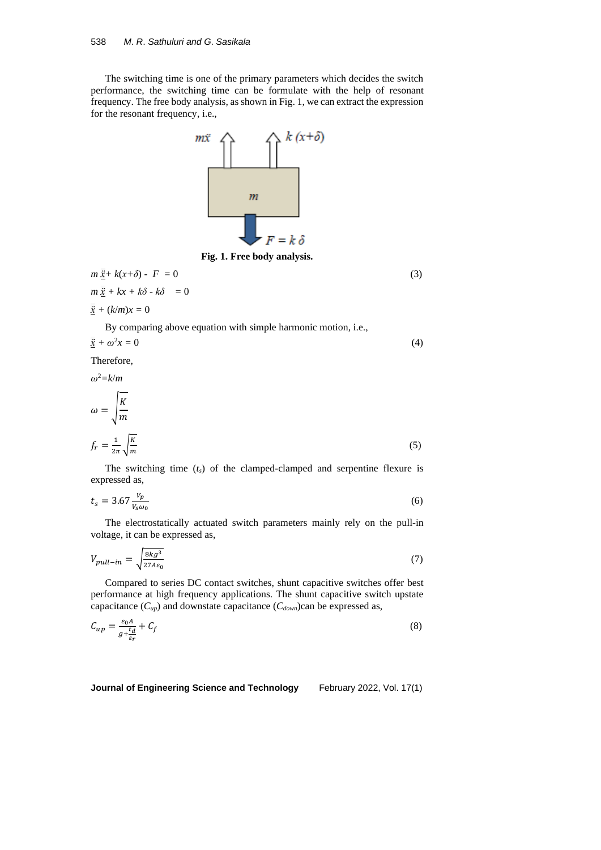The switching time is one of the primary parameters which decides the switch performance, the switching time can be formulate with the help of resonant frequency. The free body analysis, as shown in Fig. 1, we can extract the expression for the resonant frequency, i.e.,



**Fig. 1. Free body analysis.**

$$
m \underline{\ddot{x}} + k(x+\delta) - F = 0
$$
  
\n
$$
m \underline{\ddot{x}} + kx + k\delta - k\delta = 0
$$
\n(3)

$$
\underline{\ddot{x}} + (k/m)x = 0
$$

By comparing above equation with simple harmonic motion, i.e.,

$$
\underline{\ddot{x}} + \omega^2 x = 0 \tag{4}
$$

Therefore,

*ω*<sup>2</sup>*=k*/*m*

$$
\omega = \sqrt{\frac{K}{m}}
$$
  

$$
f_r = \frac{1}{2\pi} \sqrt{\frac{K}{m}}
$$
 (5)

The switching time (*ts*) of the clamped-clamped and serpentine flexure is expressed as,

$$
t_s = 3.67 \frac{v_p}{v_s \omega_0} \tag{6}
$$

The electrostatically actuated switch parameters mainly rely on the pull-in voltage, it can be expressed as,

$$
V_{pull-in} = \sqrt{\frac{8kg^3}{27A\varepsilon_0}}\tag{7}
$$

Compared to series DC contact switches, shunt capacitive switches offer best performance at high frequency applications. The shunt capacitive switch upstate capacitance  $(C_{up})$  and downstate capacitance  $(C_{down})$ can be expressed as,

$$
C_{up} = \frac{\varepsilon_0 A}{g + \frac{t_d}{\varepsilon_r}} + C_f \tag{8}
$$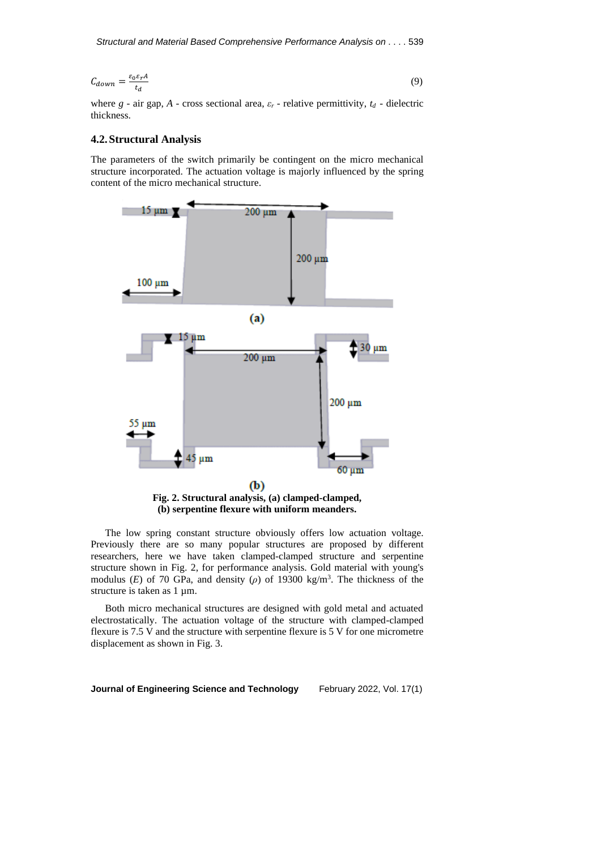$$
C_{down} = \frac{\varepsilon_0 \varepsilon_r A}{t_d} \tag{9}
$$

where  $g$  - air gap,  $A$  - cross sectional area,  $\varepsilon_r$  - relative permittivity,  $t_d$  - dielectric thickness.

# **4.2.Structural Analysis**

The parameters of the switch primarily be contingent on the micro mechanical structure incorporated. The actuation voltage is majorly influenced by the spring content of the micro mechanical structure.



The low spring constant structure obviously offers low actuation voltage. Previously there are so many popular structures are proposed by different researchers, here we have taken clamped-clamped structure and serpentine structure shown in Fig. 2, for performance analysis. Gold material with young's modulus (*E*) of 70 GPa, and density ( $\rho$ ) of 19300 kg/m<sup>3</sup>. The thickness of the structure is taken as 1  $\mu$ m.

Both micro mechanical structures are designed with gold metal and actuated electrostatically. The actuation voltage of the structure with clamped-clamped flexure is 7.5 V and the structure with serpentine flexure is 5 V for one micrometre displacement as shown in Fig. 3.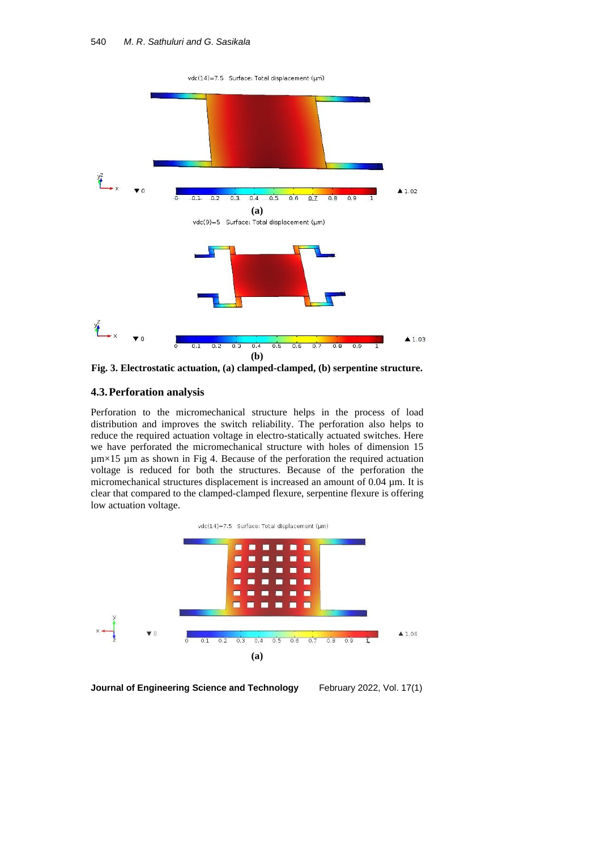vdc(14)=7.5 Surface: Total displacement (um)



**Fig. 3. Electrostatic actuation, (a) clamped-clamped, (b) serpentine structure.**

# **4.3.Perforation analysis**

Perforation to the micromechanical structure helps in the process of load distribution and improves the switch reliability. The perforation also helps to reduce the required actuation voltage in electro-statically actuated switches. Here we have perforated the micromechanical structure with holes of dimension 15  $\mu$ m×15  $\mu$ m as shown in Fig 4. Because of the perforation the required actuation voltage is reduced for both the structures. Because of the perforation the micromechanical structures displacement is increased an amount of 0.04 µm. It is clear that compared to the clamped-clamped flexure, serpentine flexure is offering low actuation voltage.

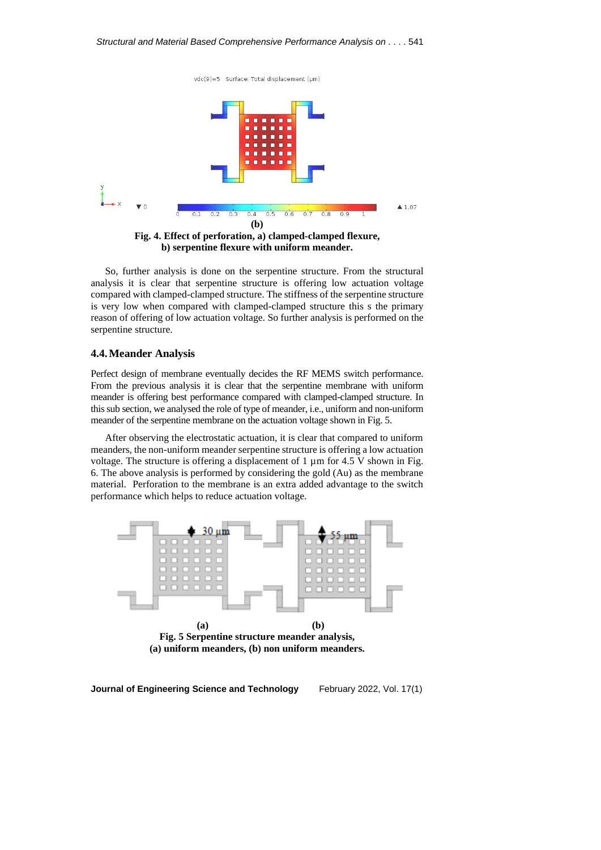vdc(9)=5 Surface: Total displacement (µm)



**b) serpentine flexure with uniform meander.**

So, further analysis is done on the serpentine structure. From the structural analysis it is clear that serpentine structure is offering low actuation voltage compared with clamped-clamped structure. The stiffness of the serpentine structure is very low when compared with clamped-clamped structure this s the primary reason of offering of low actuation voltage. So further analysis is performed on the serpentine structure.

## **4.4.Meander Analysis**

Perfect design of membrane eventually decides the RF MEMS switch performance. From the previous analysis it is clear that the serpentine membrane with uniform meander is offering best performance compared with clamped-clamped structure. In thissub section, we analysed the role of type of meander, i.e., uniform and non-uniform meander of the serpentine membrane on the actuation voltage shown in Fig. 5.

After observing the electrostatic actuation, it is clear that compared to uniform meanders, the non-uniform meander serpentine structure is offering a low actuation voltage. The structure is offering a displacement of  $1 \mu m$  for 4.5 V shown in Fig. 6. The above analysis is performed by considering the gold (Au) as the membrane material. Perforation to the membrane is an extra added advantage to the switch performance which helps to reduce actuation voltage.

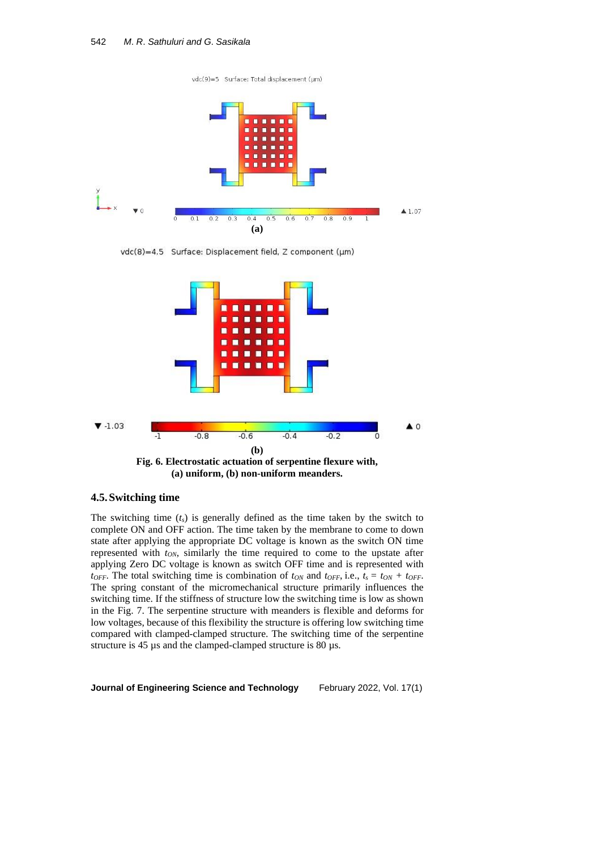vdc(9)=5 Surface: Total displacement (µm)



vdc(8)=4.5 Surface: Displacement field, Z component (µm)



# **4.5.Switching time**

The switching time (*ts*) is generally defined as the time taken by the switch to complete ON and OFF action. The time taken by the membrane to come to down state after applying the appropriate DC voltage is known as the switch ON time represented with *tON*, similarly the time required to come to the upstate after applying Zero DC voltage is known as switch OFF time and is represented with *t*<sub>OFF</sub>. The total switching time is combination of  $t_{ON}$  and  $t_{OFF}$ , i.e.,  $t_s = t_{ON} + t_{OFF}$ . The spring constant of the micromechanical structure primarily influences the switching time. If the stiffness of structure low the switching time is low as shown in the Fig. 7. The serpentine structure with meanders is flexible and deforms for low voltages, because of this flexibility the structure is offering low switching time compared with clamped-clamped structure. The switching time of the serpentine structure is 45 µs and the clamped-clamped structure is 80 µs.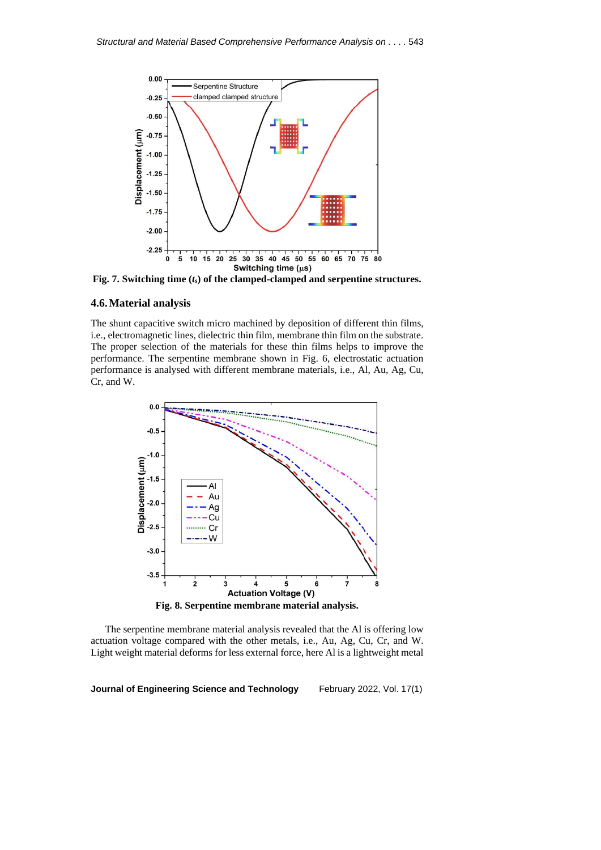

**Fig. 7. Switching time (***ts***) of the clamped-clamped and serpentine structures.**

# **4.6.Material analysis**

The shunt capacitive switch micro machined by deposition of different thin films, i.e., electromagnetic lines, dielectric thin film, membrane thin film on the substrate. The proper selection of the materials for these thin films helps to improve the performance. The serpentine membrane shown in Fig. 6, electrostatic actuation performance is analysed with different membrane materials, i.e., Al, Au, Ag, Cu, Cr, and W.



The serpentine membrane material analysis revealed that the Al is offering low actuation voltage compared with the other metals, i.e., Au, Ag, Cu, Cr, and W. Light weight material deforms for less external force, here Al is a lightweight metal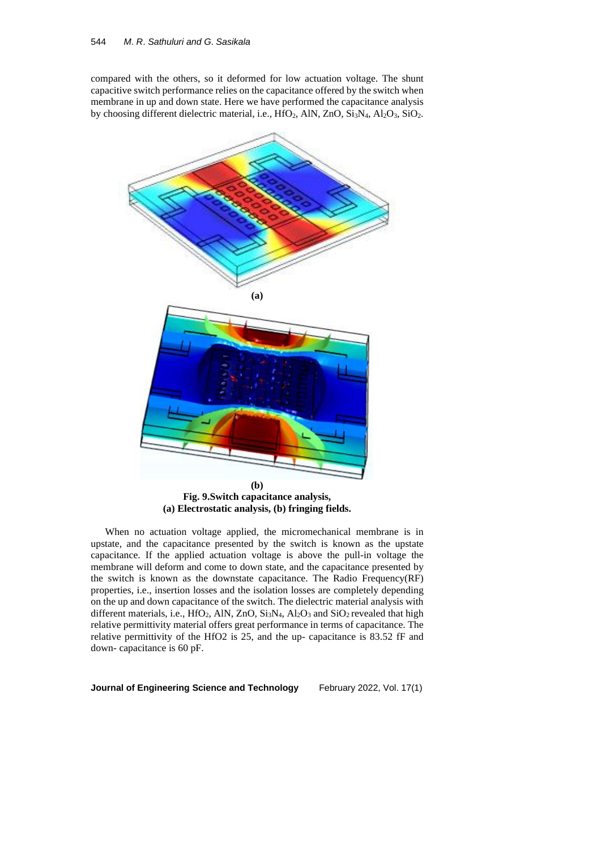compared with the others, so it deformed for low actuation voltage. The shunt capacitive switch performance relies on the capacitance offered by the switch when membrane in up and down state. Here we have performed the capacitance analysis by choosing different dielectric material, i.e., HfO<sub>2</sub>, AlN, ZnO, Si<sub>3</sub>N<sub>4</sub>, Al<sub>2</sub>O<sub>3</sub>, SiO<sub>2</sub>.



When no actuation voltage applied, the micromechanical membrane is in upstate, and the capacitance presented by the switch is known as the upstate capacitance. If the applied actuation voltage is above the pull-in voltage the membrane will deform and come to down state, and the capacitance presented by the switch is known as the downstate capacitance. The Radio Frequency(RF) properties, i.e., insertion losses and the isolation losses are completely depending on the up and down capacitance of the switch. The dielectric material analysis with different materials, i.e., HfO<sub>2</sub>, AlN, ZnO, Si<sub>3</sub>N<sub>4</sub>, Al<sub>2</sub>O<sub>3</sub> and SiO<sub>2</sub> revealed that high relative permittivity material offers great performance in terms of capacitance. The relative permittivity of the HfO2 is 25, and the up- capacitance is 83.52 fF and down- capacitance is 60 pF.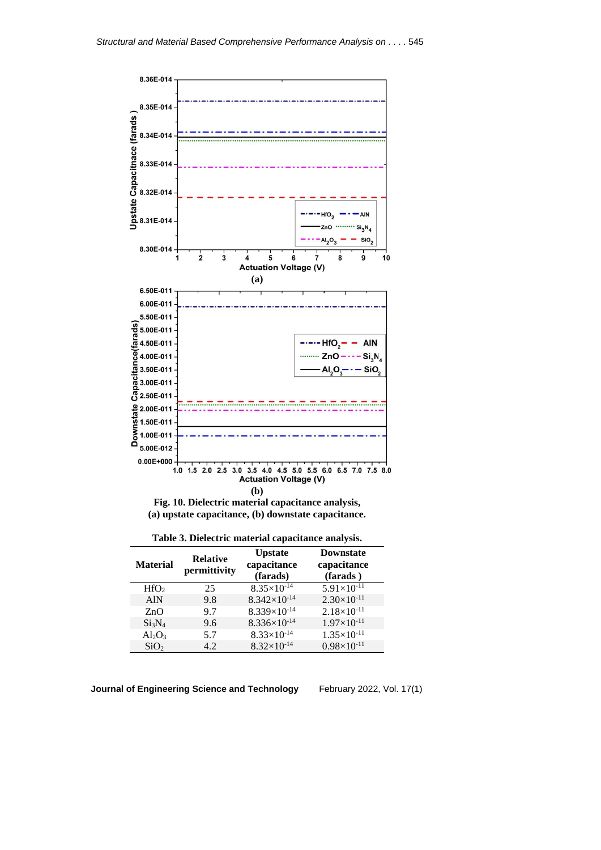

**Fig. 10. Dielectric material capacitance analysis, (a) upstate capacitance, (b) downstate capacitance.**

|  | Table 3. Dielectric material capacitance analysis. |  |
|--|----------------------------------------------------|--|
|  |                                                    |  |

| <b>Material</b>                | <b>Relative</b><br>permittivity | <b>Upstate</b><br>capacitance<br>(farads) | <b>Downstate</b><br>capacitance<br>(farads) |
|--------------------------------|---------------------------------|-------------------------------------------|---------------------------------------------|
| HfO <sub>2</sub>               | 25                              | $8.35\times10^{-14}$                      | $5.91\times10^{-11}$                        |
| <b>AlN</b>                     | 9.8                             | $8.342\times10^{-14}$                     | $2.30\times10^{-11}$                        |
| ZnO                            | 9.7                             | $8.339\times10^{-14}$                     | $2.18\times10^{-11}$                        |
| Si <sub>3</sub> N <sub>4</sub> | 9.6                             | $8.336\times10^{-14}$                     | $1.97\times10^{-11}$                        |
| $Al_2O_3$                      | 5.7                             | $8.33 \times 10^{-14}$                    | $1.35\times10^{-11}$                        |
| SiO <sub>2</sub>               | 4.2                             | $8.32\times10^{-14}$                      | $0.98\times10^{-11}$                        |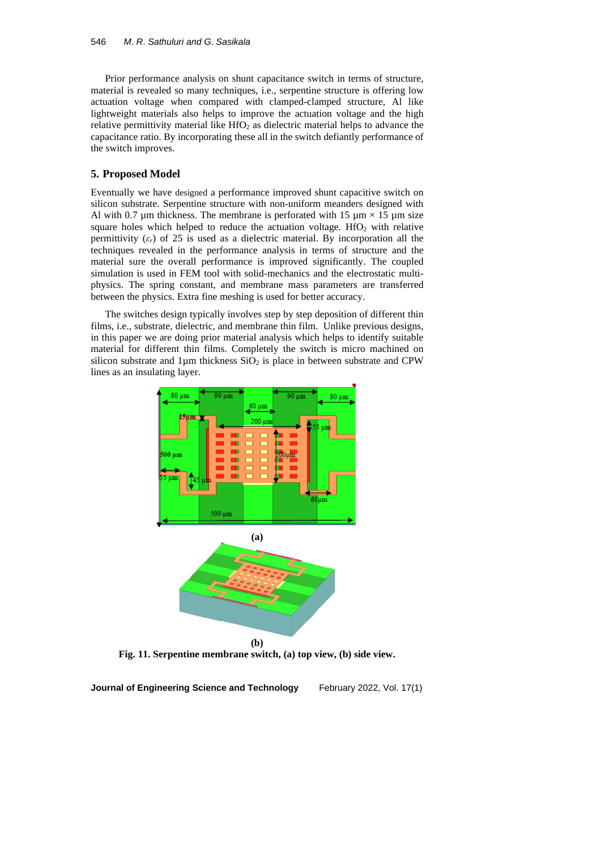Prior performance analysis on shunt capacitance switch in terms of structure, material is revealed so many techniques, i.e., serpentine structure is offering low actuation voltage when compared with clamped-clamped structure, Al like lightweight materials also helps to improve the actuation voltage and the high relative permittivity material like  $HfO<sub>2</sub>$  as dielectric material helps to advance the capacitance ratio. By incorporating these all in the switch defiantly performance of the switch improves.

# **5. Proposed Model**

Eventually we have designed a performance improved shunt capacitive switch on silicon substrate. Serpentine structure with non-uniform meanders designed with Al with 0.7  $\mu$ m thickness. The membrane is perforated with 15  $\mu$ m × 15  $\mu$ m size square holes which helped to reduce the actuation voltage.  $HfO<sub>2</sub>$  with relative permittivity  $(\varepsilon_r)$  of 25 is used as a dielectric material. By incorporation all the techniques revealed in the performance analysis in terms of structure and the material sure the overall performance is improved significantly. The coupled simulation is used in FEM tool with solid-mechanics and the electrostatic multiphysics. The spring constant, and membrane mass parameters are transferred between the physics. Extra fine meshing is used for better accuracy.

The switches design typically involves step by step deposition of different thin films, i.e., substrate, dielectric, and membrane thin film. Unlike previous designs, in this paper we are doing prior material analysis which helps to identify suitable material for different thin films. Completely the switch is micro machined on silicon substrate and  $1\mu$ m thickness  $SiO<sub>2</sub>$  is place in between substrate and CPW lines as an insulating layer.





**Fig. 11. Serpentine membrane switch, (a) top view, (b) side view.**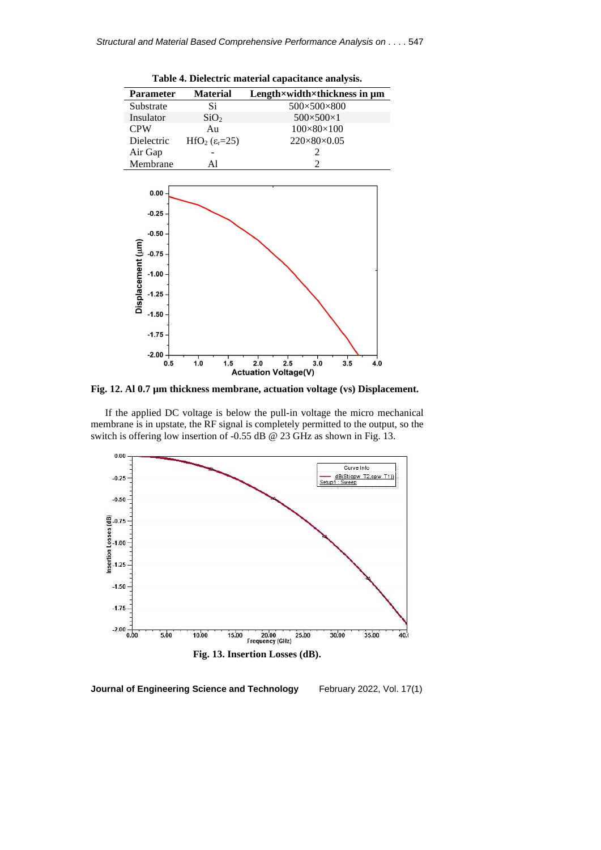

**Fig. 12. Al 0.7 µm thickness membrane, actuation voltage (vs) Displacement.** 

If the applied DC voltage is below the pull-in voltage the micro mechanical membrane is in upstate, the RF signal is completely permitted to the output, so the switch is offering low insertion of -0.55 dB @ 23 GHz as shown in Fig. 13.



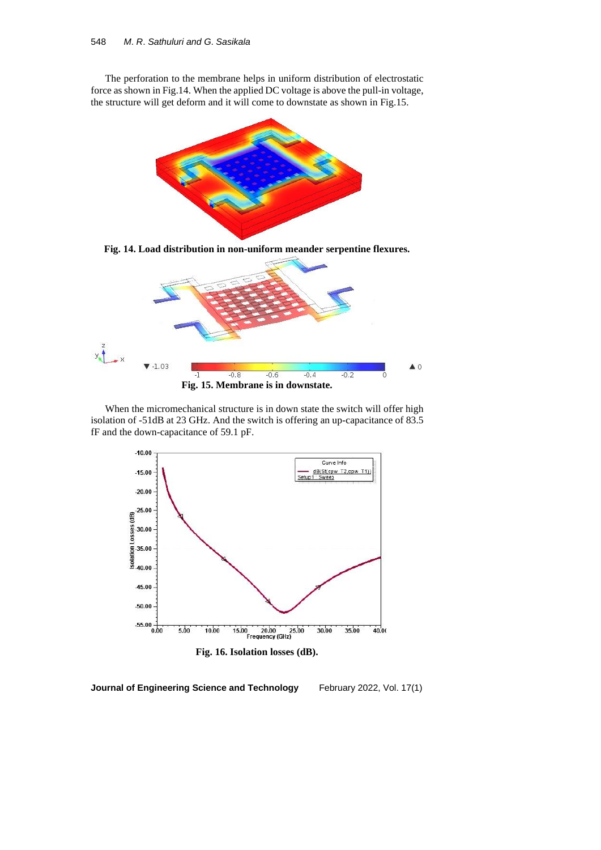The perforation to the membrane helps in uniform distribution of electrostatic force as shown in Fig.14. When the applied DC voltage is above the pull-in voltage, the structure will get deform and it will come to downstate as shown in Fig.15.



**Fig. 14. Load distribution in non-uniform meander serpentine flexures.**



When the micromechanical structure is in down state the switch will offer high isolation of -51dB at 23 GHz. And the switch is offering an up-capacitance of 83.5 fF and the down-capacitance of 59.1 pF.



**Fig. 16. Isolation losses (dB).**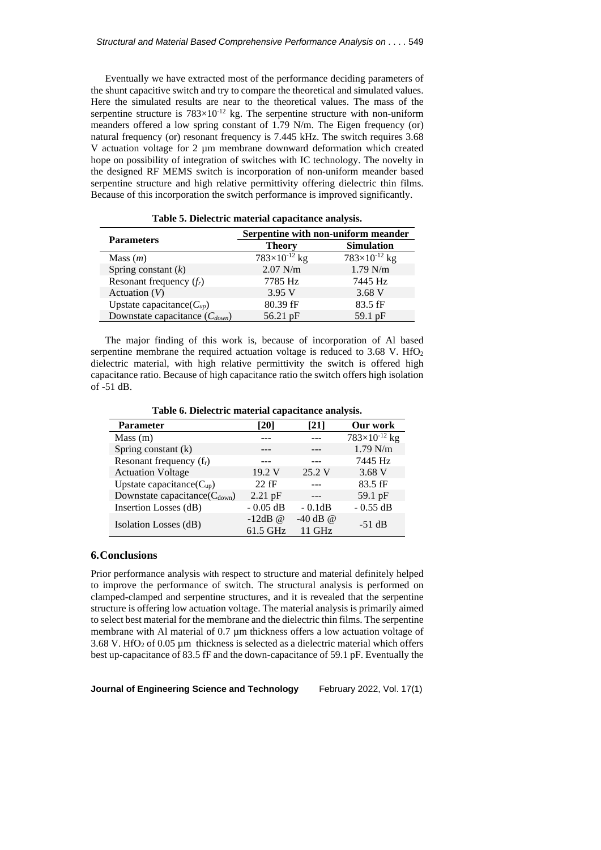Eventually we have extracted most of the performance deciding parameters of the shunt capacitive switch and try to compare the theoretical and simulated values. Here the simulated results are near to the theoretical values. The mass of the serpentine structure is  $783\times10^{-12}$  kg. The serpentine structure with non-uniform meanders offered a low spring constant of 1.79 N/m. The Eigen frequency (or) natural frequency (or) resonant frequency is 7.445 kHz. The switch requires 3.68 V actuation voltage for 2 µm membrane downward deformation which created hope on possibility of integration of switches with IC technology. The novelty in the designed RF MEMS switch is incorporation of non-uniform meander based serpentine structure and high relative permittivity offering dielectric thin films. Because of this incorporation the switch performance is improved significantly.

|                                     | Serpentine with non-uniform meander |                        |  |
|-------------------------------------|-------------------------------------|------------------------|--|
| <b>Parameters</b>                   | <b>Theory</b>                       | <b>Simulation</b>      |  |
| Mass $(m)$                          | $783\times10^{-12}$ kg              | $783\times10^{-12}$ kg |  |
| Spring constant $(k)$               | $2.07$ N/m                          | $1.79$ N/m             |  |
| Resonant frequency $(f_r)$          | 7785 Hz                             | 7445 Hz                |  |
| Actuation $(V)$                     | 3.95 V                              | 3.68V                  |  |
| Upstate capacitance( $C_{\mu\nu}$ ) | 80.39 fF                            | $83.5$ fF              |  |
| Downstate capacitance $(C_{down})$  | 56.21 pF                            | 59.1 $pF$              |  |

**Table 5. Dielectric material capacitance analysis.**

The major finding of this work is, because of incorporation of Al based serpentine membrane the required actuation voltage is reduced to  $3.68$  V. HfO<sub>2</sub> dielectric material, with high relative permittivity the switch is offered high capacitance ratio. Because of high capacitance ratio the switch offers high isolation of -51 dB.

**Table 6. Dielectric material capacitance analysis.**

| <b>Parameter</b>                      | [20]       | [21]       | Our work               |
|---------------------------------------|------------|------------|------------------------|
| Mass(m)                               |            |            | $783\times10^{-12}$ kg |
| Spring constant (k)                   |            |            | $1.79$ N/m             |
| Resonant frequency $(f_r)$            |            |            | 7445 Hz                |
| <b>Actuation Voltage</b>              | 19.2 V     | 25.2 V     | 3.68V                  |
| Upstate capacitance $(C_{\text{up}})$ | $22$ fF    |            | 83.5 fF                |
| Downstate capacitance $(C_{down})$    | $2.21$ pF  |            | 59.1 pF                |
| Insertion Losses (dB)                 | $-0.05$ dB | $-0.1dB$   | $-0.55$ dB             |
|                                       | $-12dB$ @  | -40 dB $@$ | $-51$ dB               |
| Isolation Losses (dB)                 | 61.5 GHz   | 11 GHz     |                        |

### **6.Conclusions**

Prior performance analysis with respect to structure and material definitely helped to improve the performance of switch. The structural analysis is performed on clamped-clamped and serpentine structures, and it is revealed that the serpentine structure is offering low actuation voltage. The material analysis is primarily aimed to select best material for the membrane and the dielectric thin films. The serpentine membrane with Al material of 0.7  $\mu$ m thickness offers a low actuation voltage of 3.68 V. HfO<sub>2</sub> of 0.05  $\mu$ m thickness is selected as a dielectric material which offers best up-capacitance of 83.5 fF and the down-capacitance of 59.1 pF. Eventually the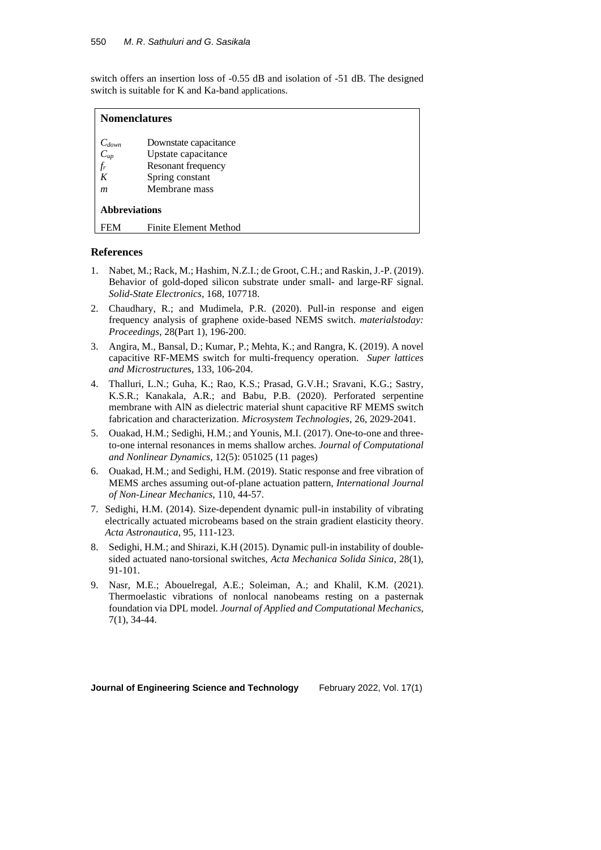switch offers an insertion loss of -0.55 dB and isolation of -51 dB. The designed switch is suitable for K and Ka-band applications.

| <b>Nomenclatures</b> |                       |  |
|----------------------|-----------------------|--|
| $C_{down}$           | Downstate capacitance |  |
|                      | Upstate capacitance   |  |
| $C_{up}$<br>$f_r$    | Resonant frequency    |  |
| K                    | Spring constant       |  |
| m                    | Membrane mass         |  |
| <b>Abbreviations</b> |                       |  |
| FEM                  | Finite Element Method |  |

# **References**

- 1. Nabet, M.; Rack, M.; Hashim, N.Z.I.; de Groot, C.H.; and Raskin, J.-P. (2019). Behavior of gold-doped silicon substrate under small- and large-RF signal. *Solid-State Electronics*, 168, 107718.
- 2. Chaudhary, R.; and Mudimela, P.R. (2020). Pull-in response and eigen frequency analysis of graphene oxide-based NEMS switch. *materialstoday: Proceedings*, 28(Part 1), 196-200.
- 3. Angira, M., Bansal, D.; Kumar, P.; Mehta, K.; and Rangra, K. (2019). A novel capacitive RF-MEMS switch for multi-frequency operation. *Super lattices and Microstructure*s, 133, 106-204.
- 4. Thalluri, L.N.; Guha, K.; Rao, K.S.; Prasad, G.V.H.; Sravani, K.G.; Sastry, K.S.R.; Kanakala, A.R.; and Babu, P.B. (2020). Perforated serpentine membrane with AlN as dielectric material shunt capacitive RF MEMS switch fabrication and characterization. *Microsystem Technologies*, 26, 2029-2041.
- 5. Ouakad, H.M.; Sedighi, H.M.; and Younis, M.I. (2017). One-to-one and threeto-one internal resonances in mems shallow arches. *Journal of Computational and Nonlinear Dynamics*, 12(5): 051025 (11 pages)
- 6. Ouakad, H.M.; and Sedighi, H.M. (2019). Static response and free vibration of MEMS arches assuming out-of-plane actuation pattern, *International Journal of Non-Linear Mechanics*, 110, 44-57.
- 7. Sedighi, H.M. (2014). Size-dependent dynamic pull-in instability of vibrating electrically actuated microbeams based on the strain gradient elasticity theory. *Acta Astronautica*, 95, 111-123.
- 8. Sedighi, H.M.; and Shirazi, [K.H](https://www.sciencedirect.com/science/article/abs/pii/S0894916615600192#!) (2015). Dynamic pull-in instability of doublesided actuated nano-torsional switches, *Acta Mechanica Solida Sinica*, 28(1), 91-101.
- 9. Nasr, M.E.; Abouelregal, A.E.; Soleiman, A.; and Khalil, K.M. (2021). Thermoelastic vibrations of nonlocal nanobeams resting on a pasternak foundation via DPL model. *Journal of Applied and Computational Mechanics*, 7(1), 34-44.